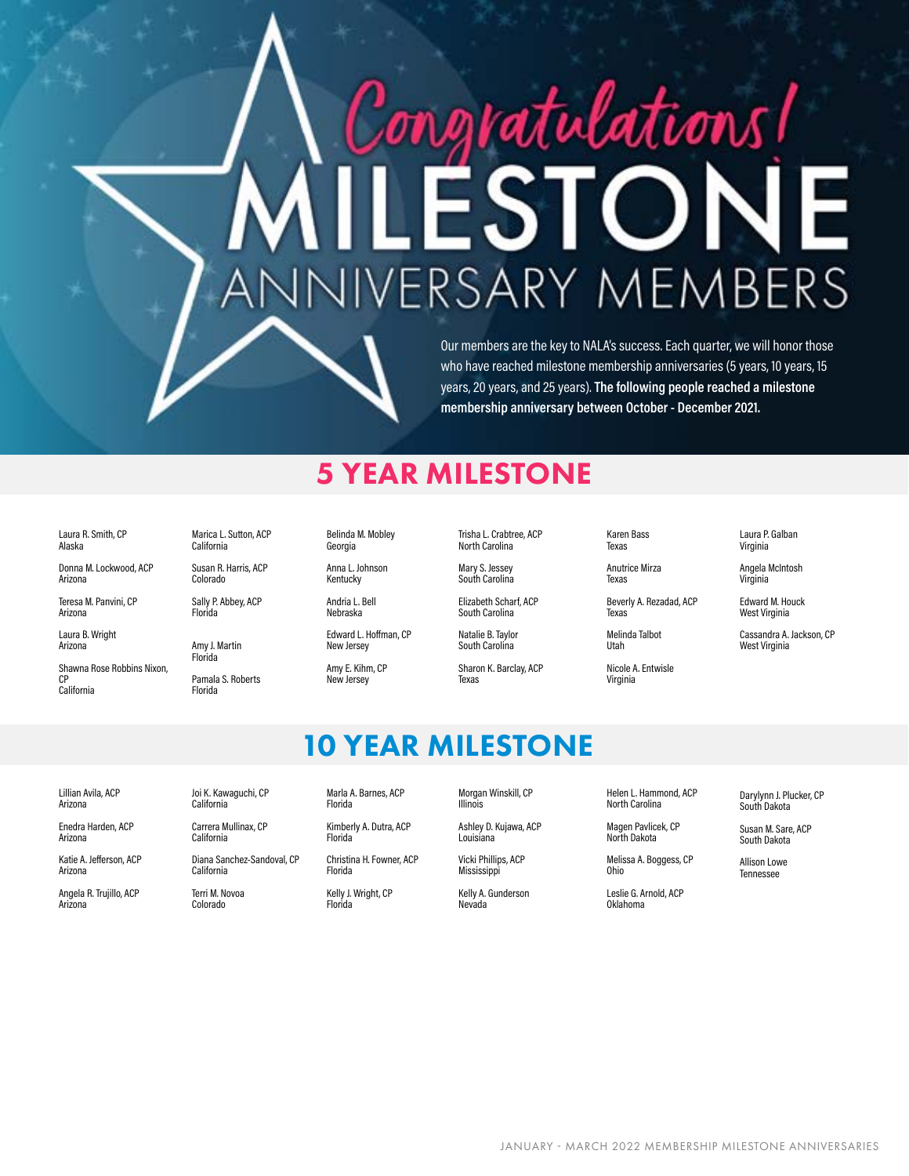# ratulations! RSARY M B EM ţ

Our members are the key to NALA's success. Each quarter, we will honor those who have reached milestone membership anniversaries (5 years, 10 years, 15 years, 20 years, and 25 years). **The following people reached a milestone membership anniversary between October - December 2021.** 

#### 5 YEAR MILESTONE

Laura R. Smith, CP Alaska

Donna M. Lockwood, ACP Arizona

Teresa M. Panvini, CP Arizona

Laura B. Wright Arizona

Shawna Rose Robbins Nixon, CP California

Marica L. Sutton, ACP California

Susan R. Harris, ACP Colorado

Sally P. Abbey, ACP Florida

Amy J. Martin Florida Pamala S. Roberts

Florida

Belinda M. Mobley Georgia

Anna L. Johnson Kentucky

Andria L. Bell Nebraska

New Jersey Amy E. Kihm, CP New Jersey

Edward L. Hoffman, CP

Trisha L. Crabtree, ACP North Carolina

Mary S. Jessey South Carolina

Elizabeth Scharf, ACP South Carolina

Natalie B. Taylor South Carolina

Sharon K. Barclay, ACP Texas

10 YEAR MILESTONE

Karen Bass Texas

> Anutrice Mirza Texas

Melinda Talbot

Virginia

Beverly A. Rezadad, ACP Texas

Utah Nicole A. Entwisle Laura P. Galban Virginia

Angela McIntosh Virginia

Edward M. Houck West Virginia

Cassandra A. Jackson, CP West Virginia

Lillian Avila, ACP Arizona

Enedra Harden, ACP Arizona

Katie A. Jefferson, ACP Arizona

Angela R. Trujillo, ACP Arizona

Joi K. Kawaguchi, CP California

Carrera Mullinax, CP California

Diana Sanchez-Sandoval, CP California

Terri M. Novoa Colorado

Marla A. Barnes, ACP Florida

Kimberly A. Dutra, ACP Florida

Christina H. Fowner, ACP Florida

Kelly J. Wright, CP Florida

Morgan Winskill, CP Illinois

Ashley D. Kujawa, ACP Louisiana

Vicki Phillips, ACP **Mississippi** 

Kelly A. Gunderson Nevada

Helen L. Hammond, ACP North Carolina

Magen Pavlicek, CP

Melissa A. Boggess, CP Ohio

Leslie G. Arnold, ACP Oklahoma

North Dakota

Darylynn J. Plucker, CP South Dakota

Susan M. Sare, ACP South Dakota

Allison Lowe Tennessee